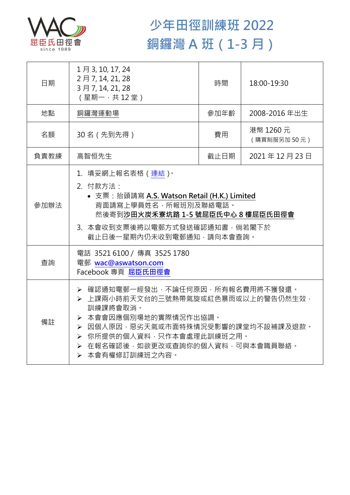

## **少年田徑訓練班 2022 銅鑼灣 A 班(1-3 月)**

| 日期   | 1月 3, 10, 17, 24<br>2月7, 14, 21, 28<br>3月7, 14, 21, 28<br>(星期一,共12堂)                                                                                                                                                                  | 時間   | 18:00-19:30              |  |
|------|---------------------------------------------------------------------------------------------------------------------------------------------------------------------------------------------------------------------------------------|------|--------------------------|--|
| 地點   | 銅鑼灣運動場                                                                                                                                                                                                                                | 參加年齡 | 2008-2016年出生             |  |
| 名額   | 30名 (先到先得)                                                                                                                                                                                                                            | 費用   | 港幣 1260 元<br>(購買制服另加50元) |  |
| 負責教練 | 高智恒先生                                                                                                                                                                                                                                 | 截止日期 | 2021年12月23日              |  |
| 參加辦法 | 1.填妥網上報名表格(連結) <sup>。</sup><br>2. 付款方法:<br>• 支票: 抬頭請寫 A.S. Watson Retail (H.K.) Limited<br>背面請寫上學員姓名,所報班別及聯絡電話。<br>然後寄到沙田火炭禾寮坑路 1-5 號屈臣氏中心 8 樓屈臣氏田徑會<br>3. 本會收到支票後將以電郵方式發送確認通知書,倘若閣下於<br>截止日後一星期內仍未收到電郵通知,請向本會查詢。                     |      |                          |  |
| 查詢   | 電話 3521 6100 / 傳真 3525 1780<br>電郵 wac@aswatson.com<br>Facebook 專頁 屈臣氏田徑會                                                                                                                                                              |      |                          |  |
| 備註   | ▶ 確認通知電郵一經發出,不論任何原因,所有報名費用將不獲發還。<br>▶ 上課兩小時前天文台的三號熱帶氣旋或紅色暴雨或以上的警告仍然生效,<br>訓練課將會取消。<br>> 本會會因應個別場地的實際情況作出協調。<br>▶ 因個人原因,惡劣天氣或市面特殊情況受影響的課堂均不設補課及退款。<br>▶ 你所提供的個人資料,只作本會處理此訓練班之用。<br>> 在報名確認後,如欲更改或查詢你的個人資料,可與本會職員聯絡。<br>> 本會有權修訂訓練班之內容。 |      |                          |  |